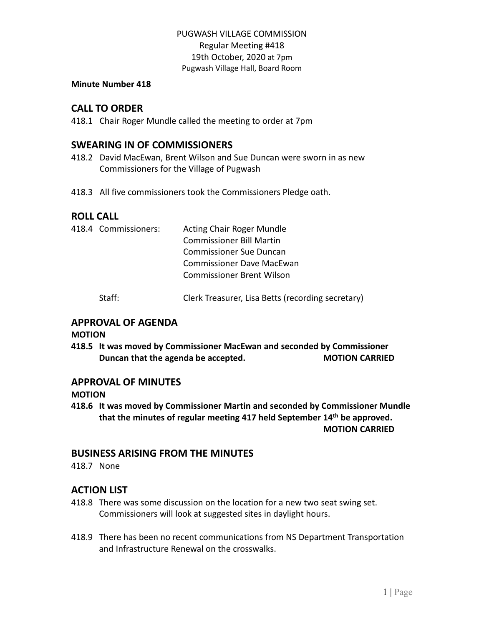### **Minute Number 418**

## **CALL TO ORDER**

418.1 Chair Roger Mundle called the meeting to order at 7pm

## **SWEARING IN OF COMMISSIONERS**

- 418.2 David MacEwan, Brent Wilson and Sue Duncan were sworn in as new Commissioners for the Village of Pugwash
- 418.3 All five commissioners took the Commissioners Pledge oath.

### **ROLL CALL**

|  | 418.4 Commissioners: | <b>Acting Chair Roger Mundle</b> |
|--|----------------------|----------------------------------|
|  |                      | <b>Commissioner Bill Martin</b>  |
|  |                      | <b>Commissioner Sue Duncan</b>   |
|  |                      | Commissioner Dave MacEwan        |
|  |                      | Commissioner Brent Wilson        |
|  |                      |                                  |

Staff: Clerk Treasurer, Lisa Betts (recording secretary)

## **APPROVAL OF AGENDA**

**MOTION**

**418.5 It was moved by Commissioner MacEwan and seconded by Commissioner Duncan that the agenda be accepted. MOTION CARRIED**

### **APPROVAL OF MINUTES**

**MOTION**

**418.6 It was moved by Commissioner Martin and seconded by Commissioner Mundle that the minutes of regular meeting 417 held September 14th be approved. MOTION CARRIED**

## **BUSINESS ARISING FROM THE MINUTES**

418.7 None

### **ACTION LIST**

- 418.8 There was some discussion on the location for a new two seat swing set. Commissioners will look at suggested sites in daylight hours.
- 418.9 There has been no recent communications from NS Department Transportation and Infrastructure Renewal on the crosswalks.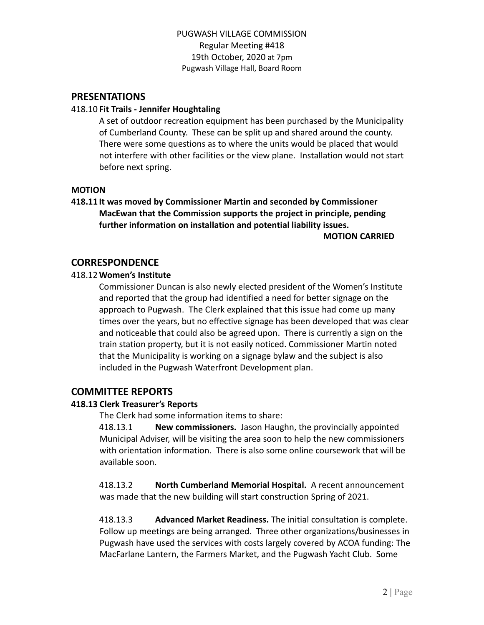### **PRESENTATIONS**

### 418.10 **Fit Trails - Jennifer Houghtaling**

A set of outdoor recreation equipment has been purchased by the Municipality of Cumberland County. These can be split up and shared around the county. There were some questions as to where the units would be placed that would not interfere with other facilities or the view plane. Installation would not start before next spring.

### **MOTION**

# **418.11 It was moved by Commissioner Martin and seconded by Commissioner MacEwan that the Commission supports the project in principle, pending further information on installation and potential liability issues.**

**MOTION CARRIED**

## **CORRESPONDENCE**

### 418.12**Women's Institute**

Commissioner Duncan is also newly elected president of the Women's Institute and reported that the group had identified a need for better signage on the approach to Pugwash. The Clerk explained that this issue had come up many times over the years, but no effective signage has been developed that was clear and noticeable that could also be agreed upon. There is currently a sign on the train station property, but it is not easily noticed. Commissioner Martin noted that the Municipality is working on a signage bylaw and the subject is also included in the Pugwash Waterfront Development plan.

# **COMMITTEE REPORTS**

### **418.13 Clerk Treasurer's Reports**

The Clerk had some information items to share:

418.13.1 **New commissioners.** Jason Haughn, the provincially appointed Municipal Adviser, will be visiting the area soon to help the new commissioners with orientation information. There is also some online coursework that will be available soon.

418.13.2 **North Cumberland Memorial Hospital.** A recent announcement was made that the new building will start construction Spring of 2021.

418.13.3 **Advanced Market Readiness.** The initial consultation is complete. Follow up meetings are being arranged. Three other organizations/businesses in Pugwash have used the services with costs largely covered by ACOA funding: The MacFarlane Lantern, the Farmers Market, and the Pugwash Yacht Club. Some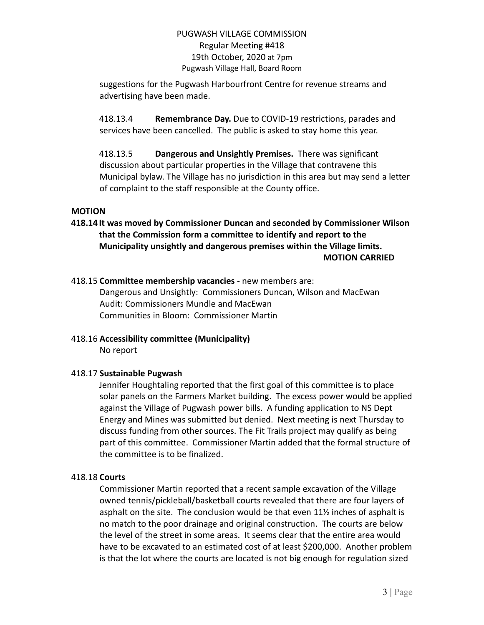suggestions for the Pugwash Harbourfront Centre for revenue streams and advertising have been made.

418.13.4 **Remembrance Day.** Due to COVID-19 restrictions, parades and services have been cancelled. The public is asked to stay home this year.

418.13.5 **Dangerous and Unsightly Premises.** There was significant discussion about particular properties in the Village that contravene this Municipal bylaw. The Village has no jurisdiction in this area but may send a letter of complaint to the staff responsible at the County office.

### **MOTION**

**418.14 It was moved by Commissioner Duncan and seconded by Commissioner Wilson that the Commission form a committee to identify and report to the Municipality unsightly and dangerous premises within the Village limits. MOTION CARRIED**

### 418.15 **Committee membership vacancies** - new members are:

Dangerous and Unsightly: Commissioners Duncan, Wilson and MacEwan Audit: Commissioners Mundle and MacEwan Communities in Bloom: Commissioner Martin

# 418.16 **Accessibility committee (Municipality)**

No report

### 418.17 **Sustainable Pugwash**

Jennifer Houghtaling reported that the first goal of this committee is to place solar panels on the Farmers Market building. The excess power would be applied against the Village of Pugwash power bills. A funding application to NS Dept Energy and Mines was submitted but denied. Next meeting is next Thursday to discuss funding from other sources. The Fit Trails project may qualify as being part of this committee. Commissioner Martin added that the formal structure of the committee is to be finalized.

### 418.18 **Courts**

Commissioner Martin reported that a recent sample excavation of the Village owned tennis/pickleball/basketball courts revealed that there are four layers of asphalt on the site. The conclusion would be that even 11½ inches of asphalt is no match to the poor drainage and original construction. The courts are below the level of the street in some areas. It seems clear that the entire area would have to be excavated to an estimated cost of at least \$200,000. Another problem is that the lot where the courts are located is not big enough for regulation sized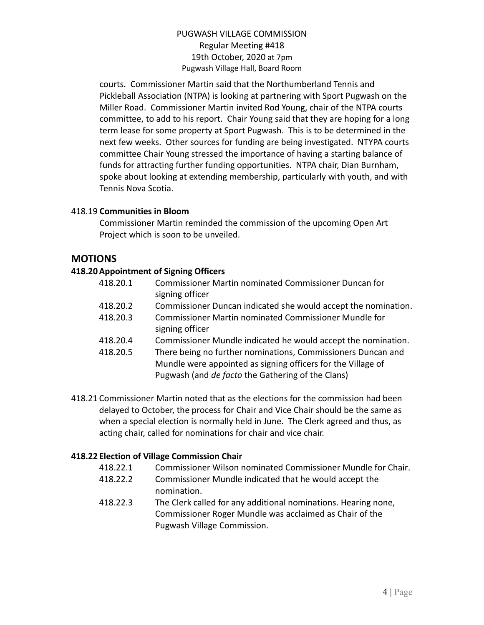courts. Commissioner Martin said that the Northumberland Tennis and Pickleball Association (NTPA) is looking at partnering with Sport Pugwash on the Miller Road. Commissioner Martin invited Rod Young, chair of the NTPA courts committee, to add to his report. Chair Young said that they are hoping for a long term lease for some property at Sport Pugwash. This is to be determined in the next few weeks. Other sources for funding are being investigated. NTYPA courts committee Chair Young stressed the importance of having a starting balance of funds for attracting further funding opportunities. NTPA chair, Dian Burnham, spoke about looking at extending membership, particularly with youth, and with Tennis Nova Scotia.

### 418.19 **Communities in Bloom**

Commissioner Martin reminded the commission of the upcoming Open Art Project which is soon to be unveiled.

# **MOTIONS**

## **418.20Appointment of Signing Officers**

| 418.20.1 | <b>Commissioner Martin nominated Commissioner Duncan for</b>   |
|----------|----------------------------------------------------------------|
|          | signing officer                                                |
| 418.20.2 | Commissioner Duncan indicated she would accept the nomination. |
| 418.20.3 | Commissioner Martin nominated Commissioner Mundle for          |
|          | signing officer                                                |
| 418.20.4 | Commissioner Mundle indicated he would accept the nomination.  |
| 418.20.5 | There being no further nominations, Commissioners Duncan and   |
|          | Mundle were appointed as signing officers for the Village of   |
|          | Pugwash (and <i>de facto</i> the Gathering of the Clans)       |
|          |                                                                |

418.21 Commissioner Martin noted that as the elections for the commission had been delayed to October, the process for Chair and Vice Chair should be the same as when a special election is normally held in June. The Clerk agreed and thus, as acting chair, called for nominations for chair and vice chair.

### **418.22 Election of Village Commission Chair**

- 418.22.1 Commissioner Wilson nominated Commissioner Mundle for Chair.
- 418.22.2 Commissioner Mundle indicated that he would accept the nomination.
- 418.22.3 The Clerk called for any additional nominations. Hearing none, Commissioner Roger Mundle was acclaimed as Chair of the Pugwash Village Commission.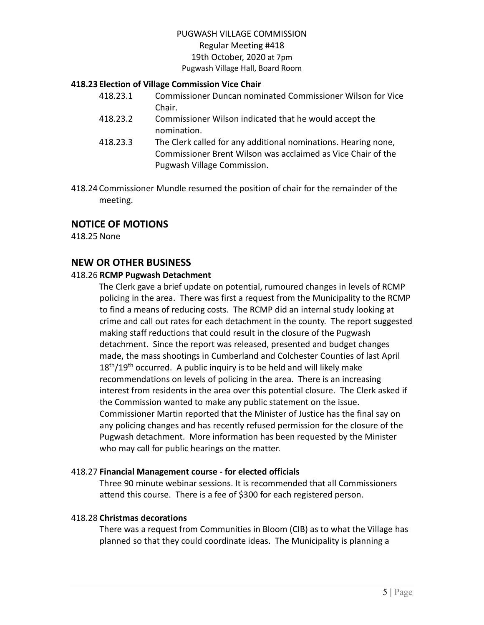# PUGWASH VILLAGE COMMISSION

#### Regular Meeting #418 19th October, 2020 at 7pm

### Pugwash Village Hall, Board Room

### **418.23 Election of Village Commission Vice Chair**

- 418.23.1 Commissioner Duncan nominated Commissioner Wilson for Vice Chair.
- 418.23.2 Commissioner Wilson indicated that he would accept the nomination.
- 418.23.3 The Clerk called for any additional nominations. Hearing none, Commissioner Brent Wilson was acclaimed as Vice Chair of the Pugwash Village Commission.
- 418.24 Commissioner Mundle resumed the position of chair for the remainder of the meeting.

# **NOTICE OF MOTIONS**

418.25 None

## **NEW OR OTHER BUSINESS**

### 418.26 **RCMP Pugwash Detachment**

The Clerk gave a brief update on potential, rumoured changes in levels of RCMP policing in the area. There was first a request from the Municipality to the RCMP to find a means of reducing costs. The RCMP did an internal study looking at crime and call out rates for each detachment in the county. The report suggested making staff reductions that could result in the closure of the Pugwash detachment. Since the report was released, presented and budget changes made, the mass shootings in Cumberland and Colchester Counties of last April  $18<sup>th</sup>/19<sup>th</sup>$  occurred. A public inquiry is to be held and will likely make recommendations on levels of policing in the area. There is an increasing interest from residents in the area over this potential closure. The Clerk asked if the Commission wanted to make any public statement on the issue. Commissioner Martin reported that the Minister of Justice has the final say on any policing changes and has recently refused permission for the closure of the Pugwash detachment. More information has been requested by the Minister who may call for public hearings on the matter.

### 418.27 **Financial Management course - for elected officials**

Three 90 minute webinar sessions. It is recommended that all Commissioners attend this course. There is a fee of \$300 for each registered person.

### 418.28 **Christmas decorations**

There was a request from Communities in Bloom (CIB) as to what the Village has planned so that they could coordinate ideas. The Municipality is planning a